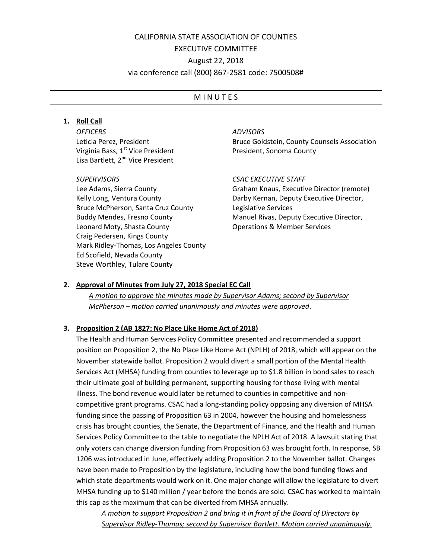# CALIFORNIA STATE ASSOCIATION OF COUNTIES EXECUTIVE COMMITTEE August 22, 2018 via conference call (800) 867-2581 code: 7500508#

## **MINUTES**

## **1. Roll Call**

*OFFICERS* Leticia Perez, President Virginia Bass, 1<sup>st</sup> Vice President Lisa Bartlett, 2<sup>nd</sup> Vice President

### *SUPERVISORS*

Lee Adams, Sierra County Kelly Long, Ventura County Bruce McPherson, Santa Cruz County Buddy Mendes, Fresno County Leonard Moty, Shasta County Craig Pedersen, Kings County Mark Ridley-Thomas, Los Angeles County Ed Scofield, Nevada County Steve Worthley, Tulare County

## *ADVISORS*

Bruce Goldstein, County Counsels Association President, Sonoma County

#### *CSAC EXECUTIVE STAFF*

Graham Knaus, Executive Director (remote) Darby Kernan, Deputy Executive Director, Legislative Services Manuel Rivas, Deputy Executive Director, Operations & Member Services

## **2. Approval of Minutes from July 27, 2018 Special EC Call**

*A motion to approve the minutes made by Supervisor Adams; second by Supervisor McPherson – motion carried unanimously and minutes were approved*.

## **3. Proposition 2 (AB 1827: No Place Like Home Act of 2018)**

The Health and Human Services Policy Committee presented and recommended a support position on Proposition 2, the No Place Like Home Act (NPLH) of 2018, which will appear on the November statewide ballot. Proposition 2 would divert a small portion of the Mental Health Services Act (MHSA) funding from counties to leverage up to \$1.8 billion in bond sales to reach their ultimate goal of building permanent, supporting housing for those living with mental illness. The bond revenue would later be returned to counties in competitive and noncompetitive grant programs. CSAC had a long-standing policy opposing any diversion of MHSA funding since the passing of Proposition 63 in 2004, however the housing and homelessness crisis has brought counties, the Senate, the Department of Finance, and the Health and Human Services Policy Committee to the table to negotiate the NPLH Act of 2018. A lawsuit stating that only voters can change diversion funding from Proposition 63 was brought forth. In response, SB 1206 was introduced in June, effectively adding Proposition 2 to the November ballot. Changes have been made to Proposition by the legislature, including how the bond funding flows and which state departments would work on it. One major change will allow the legislature to divert MHSA funding up to \$140 million / year before the bonds are sold. CSAC has worked to maintain this cap as the maximum that can be diverted from MHSA annually.

*A motion to support Proposition 2 and bring it in front of the Board of Directors by Supervisor Ridley-Thomas; second by Supervisor Bartlett. Motion carried unanimously.*